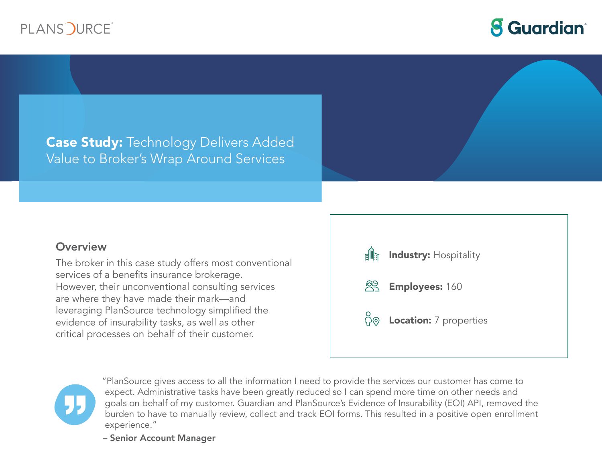



# **Case Study: Technology Delivers Added** Value to Broker's Wrap Around Services

### **Overview**

The broker in this case study offers most conventional services of a benefits insurance brokerage. However, their unconventional consulting services are where they have made their mark—and leveraging PlanSource technology simplified the evidence of insurability tasks, as well as other critical processes on behalf of their customer.





"PlanSource gives access to all the information I need to provide the services our customer has come to expect. Administrative tasks have been greatly reduced so I can spend more time on other needs and goals on behalf of my customer. Guardian and PlanSource's Evidence of Insurability (EOI) API, removed the burden to have to manually review, collect and track EOI forms. This resulted in a positive open enrollment experience."

– Senior Account Manager